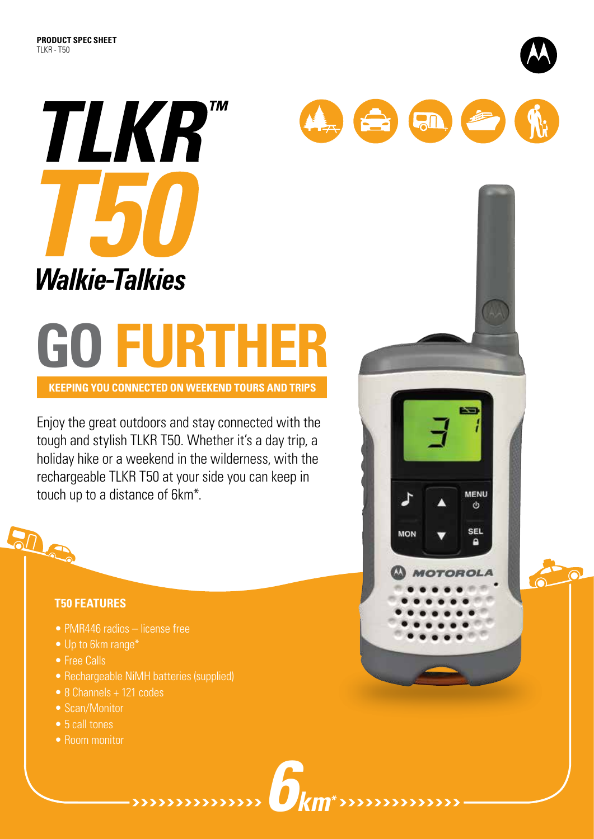

# **GO FURTHER**

 **Keeping you connected on weekend tours and trips**

Enjoy the great outdoors and stay connected with the tough and stylish TLKR T50. Whether it's a day trip, a holiday hike or a weekend in the wilderness, with the rechargeable TLKR T50 at your side you can keep in touch up to a distance of 6km\*.



- PMR446 radios license free
- Up to 6km range\*
- Free Calls
- Rechargeable NiMH batteries (supplied)

*6km\**

**RD** 

**MENU**  $\ddot{\circ}$ 

SEL

 $\overline{\phantom{a}}$ 

**MON** 

- 8 Channels + 121 codes
- Scan/Monitor
- 5 call tones
- Room monitor